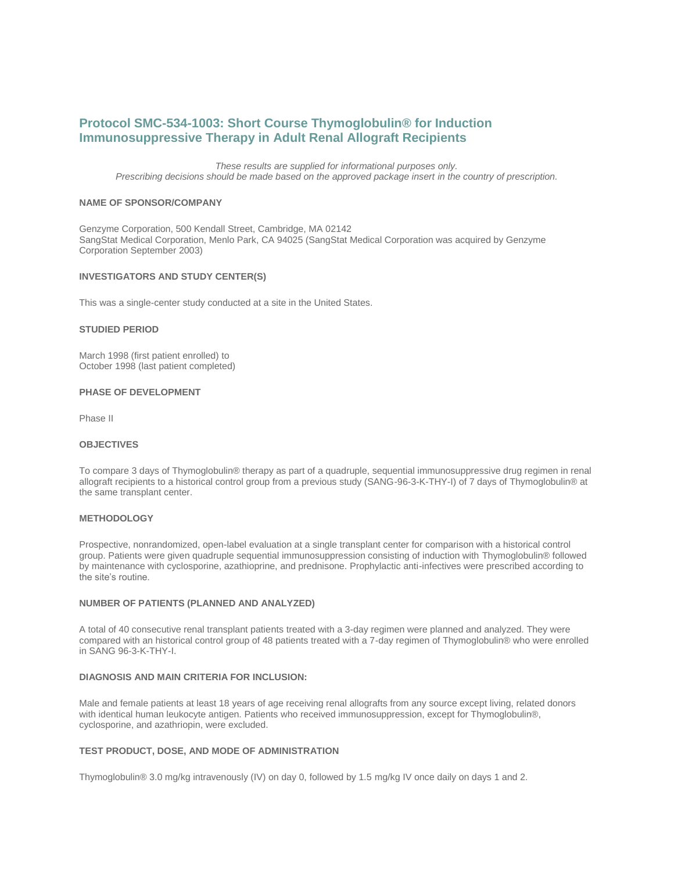# **Protocol SMC-534-1003: Short Course Thymoglobulin® for Induction Immunosuppressive Therapy in Adult Renal Allograft Recipients**

*These results are supplied for informational purposes only. Prescribing decisions should be made based on the approved package insert in the country of prescription.*

### **NAME OF SPONSOR/COMPANY**

Genzyme Corporation, 500 Kendall Street, Cambridge, MA 02142 SangStat Medical Corporation, Menlo Park, CA 94025 (SangStat Medical Corporation was acquired by Genzyme Corporation September 2003)

### **INVESTIGATORS AND STUDY CENTER(S)**

This was a single-center study conducted at a site in the United States.

# **STUDIED PERIOD**

March 1998 (first patient enrolled) to October 1998 (last patient completed)

#### **PHASE OF DEVELOPMENT**

Phase II

### **OBJECTIVES**

To compare 3 days of Thymoglobulin® therapy as part of a quadruple, sequential immunosuppressive drug regimen in renal allograft recipients to a historical control group from a previous study (SANG-96-3-K-THY-I) of 7 days of Thymoglobulin® at the same transplant center.

# **METHODOLOGY**

Prospective, nonrandomized, open-label evaluation at a single transplant center for comparison with a historical control group. Patients were given quadruple sequential immunosuppression consisting of induction with Thymoglobulin® followed by maintenance with cyclosporine, azathioprine, and prednisone. Prophylactic anti-infectives were prescribed according to the site's routine.

### **NUMBER OF PATIENTS (PLANNED AND ANALYZED)**

A total of 40 consecutive renal transplant patients treated with a 3-day regimen were planned and analyzed. They were compared with an historical control group of 48 patients treated with a 7-day regimen of Thymoglobulin® who were enrolled in SANG 96-3-K-THY-I.

### **DIAGNOSIS AND MAIN CRITERIA FOR INCLUSION:**

Male and female patients at least 18 years of age receiving renal allografts from any source except living, related donors with identical human leukocyte antigen. Patients who received immunosuppression, except for Thymoglobulin®, cyclosporine, and azathriopin, were excluded.

# **TEST PRODUCT, DOSE, AND MODE OF ADMINISTRATION**

Thymoglobulin® 3.0 mg/kg intravenously (IV) on day 0, followed by 1.5 mg/kg IV once daily on days 1 and 2.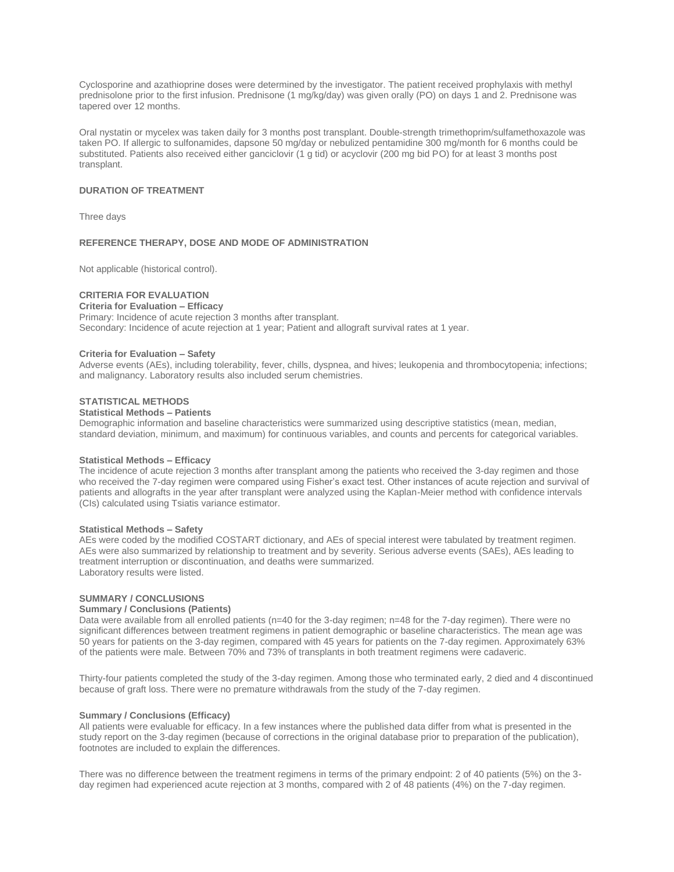Cyclosporine and azathioprine doses were determined by the investigator. The patient received prophylaxis with methyl prednisolone prior to the first infusion. Prednisone (1 mg/kg/day) was given orally (PO) on days 1 and 2. Prednisone was tapered over 12 months.

Oral nystatin or mycelex was taken daily for 3 months post transplant. Double-strength trimethoprim/sulfamethoxazole was taken PO. If allergic to sulfonamides, dapsone 50 mg/day or nebulized pentamidine 300 mg/month for 6 months could be substituted. Patients also received either ganciclovir (1 g tid) or acyclovir (200 mg bid PO) for at least 3 months post transplant.

### **DURATION OF TREATMENT**

Three days

### **REFERENCE THERAPY, DOSE AND MODE OF ADMINISTRATION**

Not applicable (historical control).

# **CRITERIA FOR EVALUATION**

# **Criteria for Evaluation – Efficacy**

Primary: Incidence of acute rejection 3 months after transplant. Secondary: Incidence of acute rejection at 1 year; Patient and allograft survival rates at 1 year.

#### **Criteria for Evaluation – Safety**

Adverse events (AEs), including tolerability, fever, chills, dyspnea, and hives; leukopenia and thrombocytopenia; infections; and malignancy. Laboratory results also included serum chemistries.

### **STATISTICAL METHODS**

### **Statistical Methods – Patients**

Demographic information and baseline characteristics were summarized using descriptive statistics (mean, median, standard deviation, minimum, and maximum) for continuous variables, and counts and percents for categorical variables.

### **Statistical Methods – Efficacy**

The incidence of acute rejection 3 months after transplant among the patients who received the 3-day regimen and those who received the 7-day regimen were compared using Fisher's exact test. Other instances of acute rejection and survival of patients and allografts in the year after transplant were analyzed using the Kaplan-Meier method with confidence intervals (CIs) calculated using Tsiatis variance estimator.

### **Statistical Methods – Safety**

AEs were coded by the modified COSTART dictionary, and AEs of special interest were tabulated by treatment regimen. AEs were also summarized by relationship to treatment and by severity. Serious adverse events (SAEs), AEs leading to treatment interruption or discontinuation, and deaths were summarized. Laboratory results were listed.

### **SUMMARY / CONCLUSIONS**

### **Summary / Conclusions (Patients)**

Data were available from all enrolled patients (n=40 for the 3-day regimen; n=48 for the 7-day regimen). There were no significant differences between treatment regimens in patient demographic or baseline characteristics. The mean age was 50 years for patients on the 3-day regimen, compared with 45 years for patients on the 7-day regimen. Approximately 63% of the patients were male. Between 70% and 73% of transplants in both treatment regimens were cadaveric.

Thirty-four patients completed the study of the 3-day regimen. Among those who terminated early, 2 died and 4 discontinued because of graft loss. There were no premature withdrawals from the study of the 7-day regimen.

# **Summary / Conclusions (Efficacy)**

All patients were evaluable for efficacy. In a few instances where the published data differ from what is presented in the study report on the 3-day regimen (because of corrections in the original database prior to preparation of the publication), footnotes are included to explain the differences.

There was no difference between the treatment regimens in terms of the primary endpoint: 2 of 40 patients (5%) on the 3 day regimen had experienced acute rejection at 3 months, compared with 2 of 48 patients (4%) on the 7-day regimen.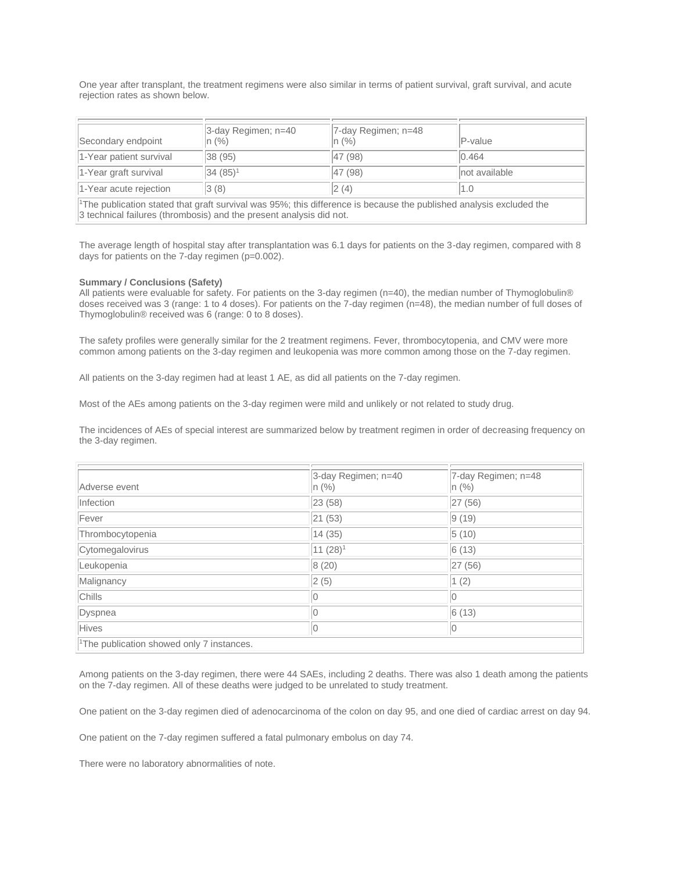One year after transplant, the treatment regimens were also similar in terms of patient survival, graft survival, and acute rejection rates as shown below.

| Secondary endpoint                                                                                                                                                                                     | 3-day Regimen; n=40<br> n (%) | 7-day Regimen; n=48<br>$n (\%)$ | $P-value$     |  |  |
|--------------------------------------------------------------------------------------------------------------------------------------------------------------------------------------------------------|-------------------------------|---------------------------------|---------------|--|--|
| 1-Year patient survival                                                                                                                                                                                | 38(95)                        | 47 (98)                         | 0.464         |  |  |
| 1-Year graft survival                                                                                                                                                                                  | 34 (85) <sup>1</sup>          | 47 (98)                         | not available |  |  |
| 1-Year acute rejection                                                                                                                                                                                 | 3(8)                          | 2(4)                            | 1.0           |  |  |
| <sup>1</sup> The publication stated that graft survival was 95%; this difference is because the published analysis excluded the<br>3 technical failures (thrombosis) and the present analysis did not. |                               |                                 |               |  |  |

The average length of hospital stay after transplantation was 6.1 days for patients on the 3-day regimen, compared with 8 days for patients on the 7-day regimen (p=0.002).

### **Summary / Conclusions (Safety)**

All patients were evaluable for safety. For patients on the 3-day regimen (n=40), the median number of Thymoglobulin® doses received was 3 (range: 1 to 4 doses). For patients on the 7-day regimen (n=48), the median number of full doses of Thymoglobulin® received was 6 (range: 0 to 8 doses).

The safety profiles were generally similar for the 2 treatment regimens. Fever, thrombocytopenia, and CMV were more common among patients on the 3-day regimen and leukopenia was more common among those on the 7-day regimen.

All patients on the 3-day regimen had at least 1 AE, as did all patients on the 7-day regimen.

Most of the AEs among patients on the 3-day regimen were mild and unlikely or not related to study drug.

The incidences of AEs of special interest are summarized below by treatment regimen in order of decreasing frequency on the 3-day regimen.

|                                                       | 3-day Regimen; n=40 | 7-day Regimen; n=48 |  |  |
|-------------------------------------------------------|---------------------|---------------------|--|--|
| Adverse event                                         | $ n \ (\%)$         | n (%)               |  |  |
| Infection                                             | 23 (58)             | 27 (56)             |  |  |
| Fever                                                 | 21 (53)             | 9(19)               |  |  |
| Thrombocytopenia                                      | 14(35)              | 5(10)               |  |  |
| Cytomegalovirus                                       | $11(28)^1$          | 6(13)               |  |  |
| Leukopenia                                            | 8(20)               | 27 (56)             |  |  |
| Malignancy                                            | 2(5)                | 1(2)                |  |  |
| Chills                                                |                     | 0                   |  |  |
| Dyspnea                                               |                     | 6(13)               |  |  |
| Hives                                                 | 0                   | 10                  |  |  |
| <sup>1</sup> The publication showed only 7 instances. |                     |                     |  |  |

Among patients on the 3-day regimen, there were 44 SAEs, including 2 deaths. There was also 1 death among the patients on the 7-day regimen. All of these deaths were judged to be unrelated to study treatment.

One patient on the 3-day regimen died of adenocarcinoma of the colon on day 95, and one died of cardiac arrest on day 94.

One patient on the 7-day regimen suffered a fatal pulmonary embolus on day 74.

There were no laboratory abnormalities of note.